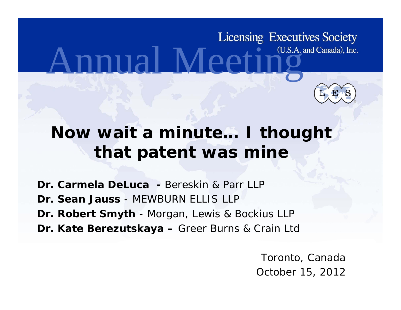# **Licensing Executives Society** nnual Meeting



#### **Now wait a minute… I thought that patent was mine**

- **Dr. Carmela DeLuca -** Bereskin & Parr LLP
- **Dr. Sean Jauss**  MEWBURN ELLIS LLP
- **Dr. Robert Smyth** - Morgan, Lewis & Bockius LLP
- **Dr. Kate Berezutskaya –** Greer Burns & Crain Ltd

Toronto, Canada October 15, 2012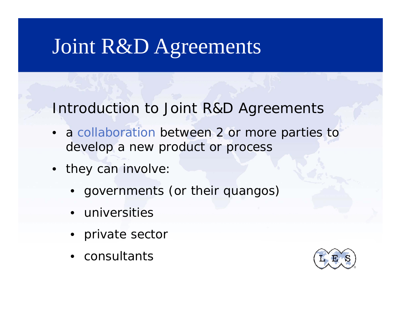#### Introduction to Joint R&D Agreements

- a collaboration between 2 or more parties to develop a new product or process
- they can involve:
	- governments (or their quangos)
	- universities
	- private sector
	- $\bullet$  consultants

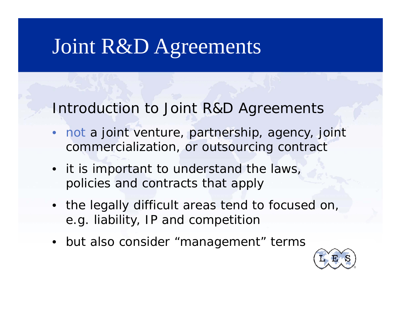Introduction to Joint R&D Agreements

- •• not a joint venture, partnership, agency, joint commercialization, or outsourcing contract
- it is important to understand the laws, policies and contracts that apply
- the legally difficult areas tend to focused on, e.g. liability, IP and competition
- but also consider "management" terms

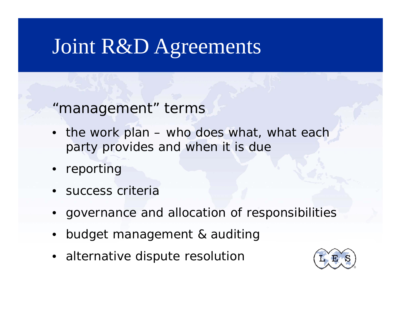"management" terms

- the work plan who does what, what each party provides and when it is due
- •reporting
- •**•** success criteria
- •governance and allocation of responsibilities
- •budget management & auditing
- $\bullet~$  alternative dispute resolution

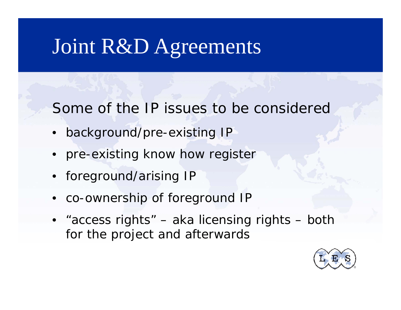Some of the IP issues to be considered

- background/pre-existing IP
- pre-existing know how register
- foreground/arising IP
- •co-ownership of foreground IP
- "access rights" aka licensing rights both for the project and afterwards

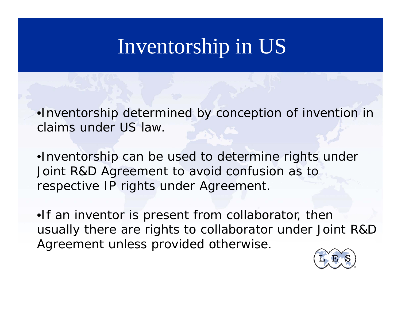## Inventorship in US

•Inventorship determined by conception of invention in claims under US law.

•Inventorship can be used to determine rights under Joint R&D Agreement to avoid confusion as to respective IP rights under Agreement.

•If an inventor is present from collaborator, then usually there are rights to collaborator under Joint R&D Agreement unless provided otherwise.

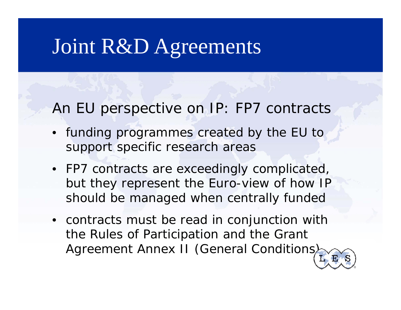An EU perspective on IP: FP7 contracts

- funding programmes created by the EU to support specific research areas
- FP7 contracts are exceedingly complicated, but they represent the Euro-view of how IP should be managed when centrally funded
- contracts must be read in conjunction with the Rules of Participation and the Grant Agreement Annex II (General Conditions)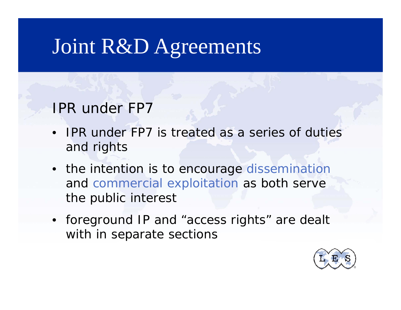#### IPR under FP7

- •• IPR under FP7 is treated as a series of duties and rights
- the intention is to encourage dissemination and commercial exploitation as both serve the public interest
- foreground IP and "access rights" are dealt with in separate sections

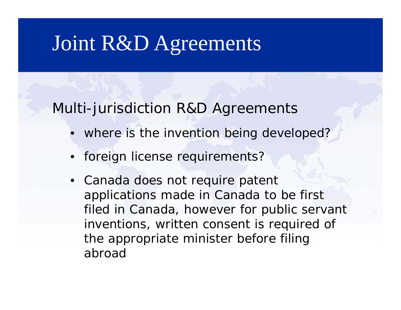Multi-jurisdiction R&D Agreements

- where is the invention being developed?
- •foreign license requirements?
- Canada does not require patent applications made in Canada to be first filed in Canada, however for public servant inventions, written consent is required of the appropriate minister before filing abroad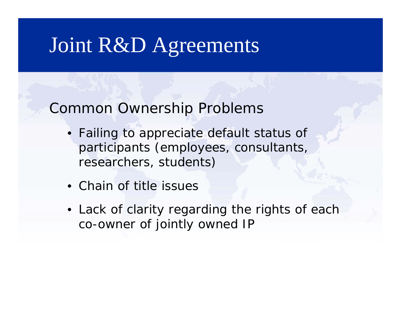Common Ownership Problems

- Failing to appreciate default status of participants (employees, consultants, researchers, students)
- Chain of title issues
- Lack of clarity regarding the rights of each co-owner of jointly owned IP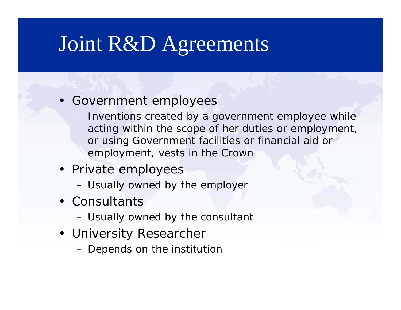- Government employees
	- Inventions created by a government employee while acting within the scope of her duties or employment, or using Government facilities or financial aid or employment, vests in the Crown
- Private employees
	- Usually owned by the employer
- Consultants
	- Usually owned by the consultant
- University Researcher
	- $-$  Depends on the institution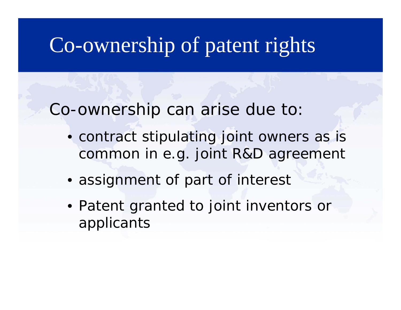Co-ownership can arise due to:

- contract stipulating joint owners as is common in e.g. joint R&D agreement
- assignment of part of interest
- Patent granted to joint inventors or applicants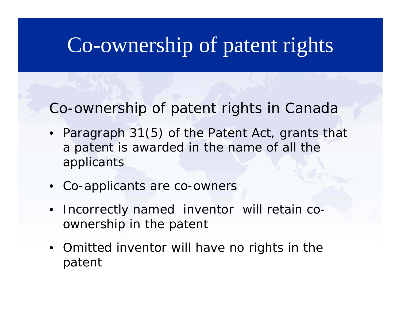Co-ownership of patent rights in Canada

- Paragraph 31(5) of the *Patent Act*, grants that a patent is awarded in the name of all the applicants
- Co-applicants are co-owners
- •• Incorrectly named inventor will retain co ownership in the patent
- Omitted inventor will have no ri ghts in the patent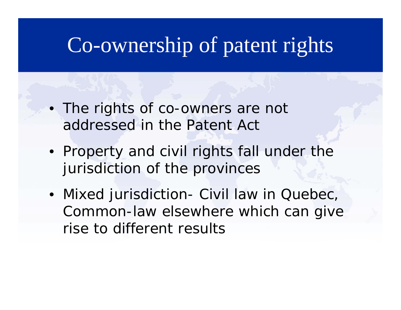- The rights of co-owners are not addressed in the *Patent Act*
- Property and civil rights fall under the jurisdiction of the provinces
- Mixed jurisdiction- Civil law in Quebec, Common -law elsewhere which can give rise to different results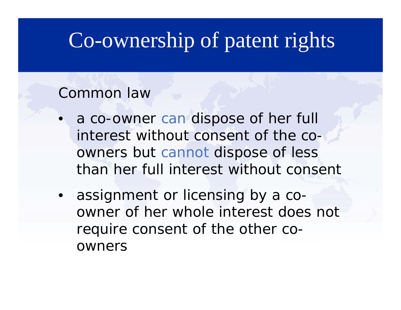#### Common law

- a co-owner can dispose of her full interest without consent of the co owners but cannot dispose of less than her full interest without consent
- assignment or licensing by a coowner of her whole interest does not require consent of the other coowners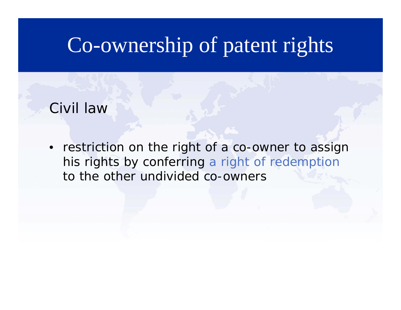Civil law

• restriction on the right of a co-owner to assign his rights by conferring a right of redemption to the other undivided co -owners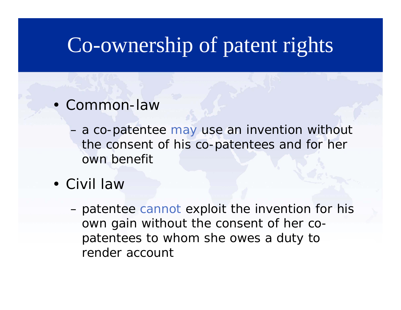- Common-law
	- a co-patentee ma y use an invention without the consent of his co-patentees and for her own benefit
- Civil law
	- patentee cannot ex ploit the invention for his own gain without the consent of her copatentees to whom she owes a duty to render account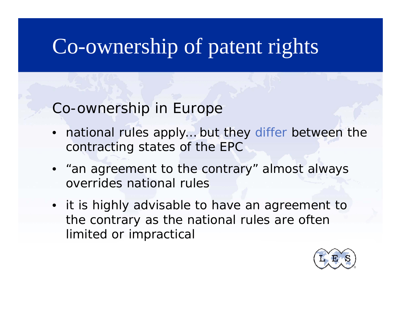#### Co-ownership in Europe

- national rules apply... but they differ between the contracting states of the EPC
- •"an agreement to the contrary" almost always overrides national rules
- it is highly advisable to have an agreement to the contrary as the national rules are often limited or impractical

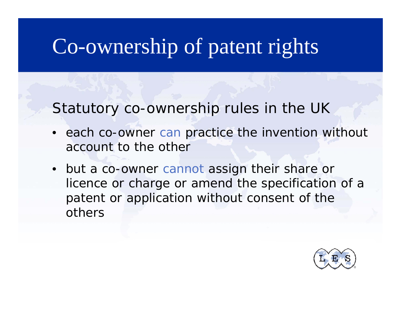Statutory co-ownership rules in the UK

- each co-owner can practice the invention without account to the other
- but a co-owner cannot assign their share or licence or charge or amend the specification of a patent or application without consent of the others

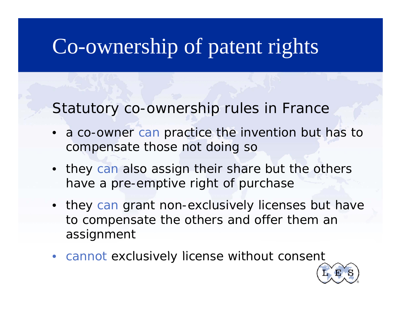Statutory co-ownership rules in France

- a co-owner can practice the invention but has to compensate those not doing so
- they can also assign their share but the others have a pre-emptive right of purchase
- they can grant non-exclusively licenses but have to compensate the others and offer them an assignment
- cannot exclusively license without consent

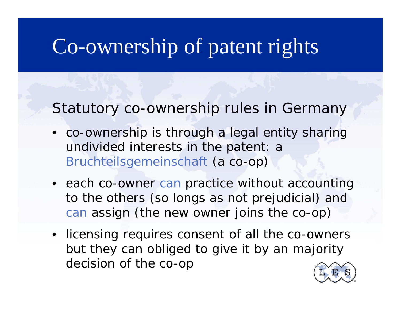Statutory co-ownership rules in Germany

- co-ownership is through a legal entity sharing undivided interests in the patent: a Bruchteilsgemeinschaft (a co-op)
- each co-owner can practice without accounting to the others (so longs as not prejudicial) and can assign (the new owner joins the co-op)
- licensing requires consent of all the co-owners but they can obliged to give it by an majority decision of the co-op

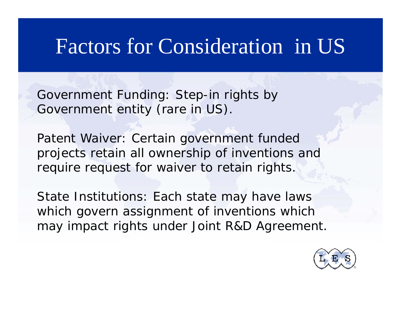#### Factors for Consideration in US

Government Funding: Step -in rights by Government entity (rare in US).

Patent Waiver: Certain government funded projects retain all ownership of inventions and require request for waiver to retain rights.

State Institutions: Each state may have laws which govern assignment of inventions which may impact rights under Joint R&D Agreement.

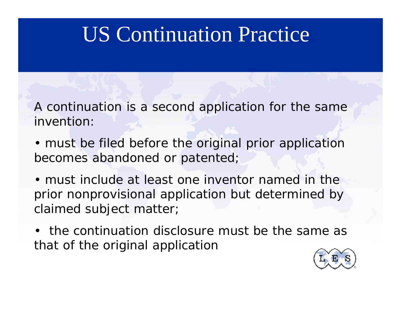## US Continuation Practice

A continuation is a second application for the same invention:

- must be filed before the original prior application becomes abandoned or patented;
- must include at least one inventor named in the prior nonprovisional application but determined by claimed subject matter;
- the continuation disclosure must be the same as that of the original application

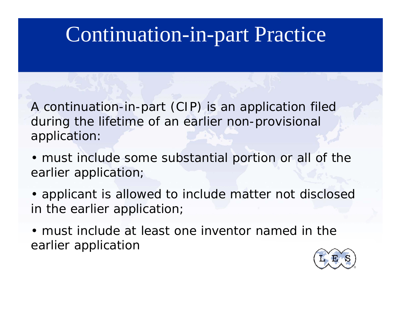### Continuation-in-part Practice

A continuation-in-part (CIP) is an application filed during the lifetime of an earlier non-provisional application:

- must include some substantial portion or all of the earlier application;
- applicant is allowed to include matter *not disclosed* in the earlier application;
- must include at least one inventor named in the earlier application

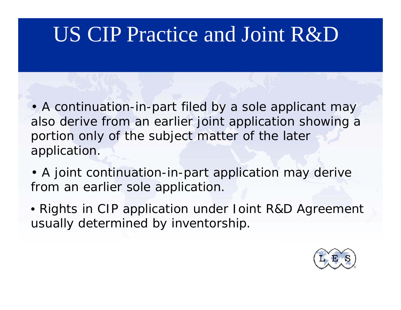## US CIP Practice and Joint R&D

• A continuation-in-part filed by a sole applicant may also derive from an earlier joint application showing a portion only of the subject matter of the later application.

- A joint continuation-in-part application may derive from an earlier sole application.
- Rights in CIP application under Joint R&D Agreement usually determined by inventorship.

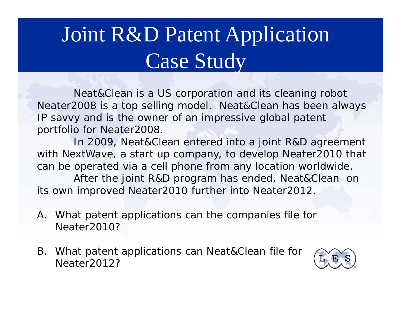#### Joint R&D Patent Application Case Stud y

Neat&Clean is a US corporation and its cleaning robot Neater2008 is a top selling model. Neat&Clean has been always IP savvy and is the owner of an impressive global patent portfolio for Neater2008.

In 2009, Neat&Clean entered into a joint R&D agreement with NextWave, a start up company, to develop Neater2010 that can be operated via a cell phone from any location worldwide. After the joint R&D program has ended, Neat&Clean on its own improved Neater2010 further into Neater2012.

- A. What patent applications can the companies file for Neater2010?
- B. What patent applications can Neat&Clean file for Neater<sub>2012?</sub>

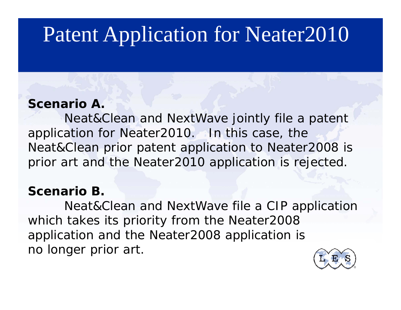## Patent Application for Neater2010

#### **Scenario A.**

Neat&Clean and NextWave jointly file a patent application for Neater2010. In this case, the Neat&Clean prior patent application to Neater2008 is prior art and the Neater2010 application is rejected.

#### **Scenario B.**

Neat&Clean and NextWave file a CIP application which takes its priority from the Neater2008 application and the Neater2008 application is no longer prior art.

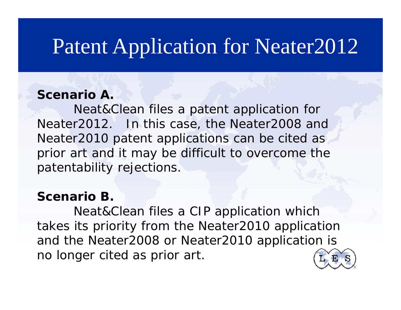### Patent Application for Neater2012

#### **Scenario A.**

Neat&Clean files a patent application for Neater2012. In this case, the Neater2008 and Neater2010 patent applications can be cited as prior art and it may be difficult to overcome the patentability rejections.

#### **Scenario B.**

Neat&Clean files a CIP application which takes its priority from the Neater2010 application and the Neater2008 or Neater2010 application is no longer cited as prior art.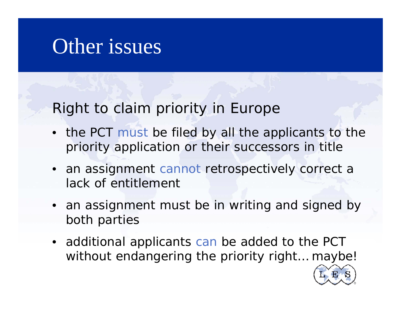#### Other issues

Right to claim priority in Europe

- the PCT must be filed by all the applicants to the priority application or their successors in title
- an assignment cannot retrospectively correct a lack of entitlement
- an assignment must be in writing and signed by both parties
- additional applicants can be added to the PCT without endangering the priority right… maybe!

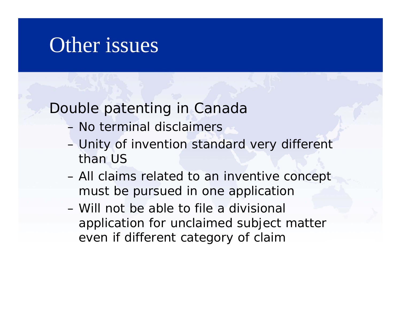#### Other issues

#### Double patenting in Canada

- No terminal disclaimers
- Unity of invention standard very different than US
- All claims related to an inventive concept must be pursued in one application
- Will not be able to file a divisional application for unclaimed subject matter even if different category of claim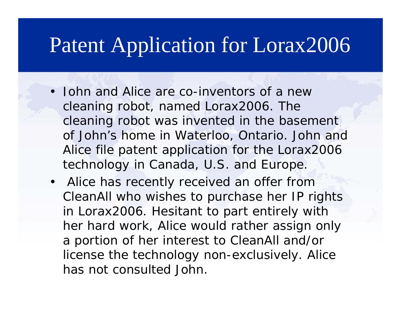#### Patent Application for Lorax2006

- John and Alice are co-inventors of a new cleaning robot, named Lorax2006. The cleaning robot was invented in the basement of John's home in Waterloo, Ontario. John and Alice file patent application for the Lorax2006 technology in Canada, U.S. and Europe.
- Alice has recently received an offer from CleanAll who wishes to purchase her IP rights in Lorax2006. Hesitant to part entirely with her hard work, Alice would rather assign only a portion of her interest to CleanAll and/or license the technology non-exclusively. Alice has not consulted John.